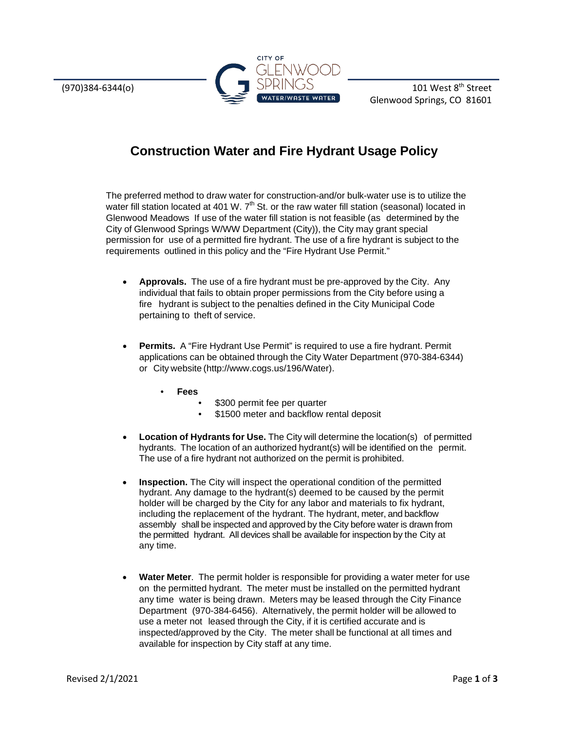

## **Construction Water and Fire Hydrant Usage Policy**

The preferred method to draw water for construction-and/or bulk-water use is to utilize the water fill station located at 401 W.  $7<sup>th</sup>$  St. or the raw water fill station (seasonal) located in Glenwood Meadows If use of the water fill station is not feasible (as determined by the City of Glenwood Springs W/WW Department (City)), the City may grant special permission for use of a permitted fire hydrant. The use of a fire hydrant is subject to the requirements outlined in this policy and the "Fire Hydrant Use Permit."

- **Approvals.** The use of a fire hydrant must be pre-approved by the City. Any individual that fails to obtain proper permissions from the City before using a fire hydrant is subject to the penalties defined in the City Municipal Code pertaining to theft of service.
- **Permits.** A "Fire Hydrant Use Permit" is required to use a fire hydrant. Permit applications can be obtained through the City Water Department (970-384-6344) or City website [\(http://www.cogs.us/196/Water\).](http://www.cogs.us/196/Water))
	- **Fees**
		- \$300 permit fee per quarter
		- \$1500 meter and backflow rental deposit
- **Location of Hydrants for Use.** The City will determine the location(s) of permitted hydrants. The location of an authorized hydrant(s) will be identified on the permit. The use of a fire hydrant not authorized on the permit is prohibited.
- **Inspection.** The City will inspect the operational condition of the permitted hydrant. Any damage to the hydrant(s) deemed to be caused by the permit holder will be charged by the City for any labor and materials to fix hydrant, including the replacement of the hydrant. The hydrant, meter, and backflow assembly shall be inspected and approved by the City before water is drawn from the permitted hydrant. All devices shall be available for inspection by the City at any time.
- **Water Meter**. The permit holder is responsible for providing a water meter for use on the permitted hydrant. The meter must be installed on the permitted hydrant any time water is being drawn. Meters may be leased through the City Finance Department (970-384-6456). Alternatively, the permit holder will be allowed to use a meter not leased through the City, if it is certified accurate and is inspected/approved by the City. The meter shall be functional at all times and available for inspection by City staff at any time.